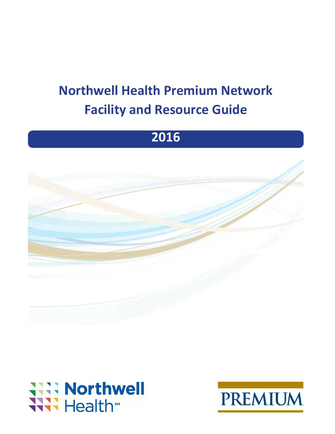# **Northwell Health Premium Network Facility and Resource Guide**

# **2016**





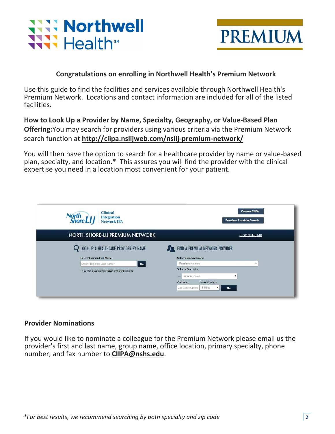



# **Congratulations on enrolling in Northwell Health's Premium Network**

Use this guide to find the facilities and services available through Northwell Health's Premium Network. Locations and contact information are included for all of the listed facilities.

**How to Look Up a Provider by Name, Specialty, Geography, or Value-Based Plan Offering:**You may search for providers using various criteria via the Premium Network search function at **http://ciipa.nslijweb.com/nslij-premium-network/** 

You will then have the option to search for a healthcare provider by name or value-based plan, specialty, and location.\* This assures you will find the provider with the clinical expertise you need in a location most convenient for your patient.

| <b>Clinical</b><br>North<br>Shore L1<br><b>Integration</b><br><b>Network IPA</b>       | <b>Contact CIIPA</b><br><b>Premium Provider Search</b>                           |  |
|----------------------------------------------------------------------------------------|----------------------------------------------------------------------------------|--|
| NORTH SHORE-LIJ PREMIUM NETWORK                                                        | $(800)$ 381-6140                                                                 |  |
| LOOK-UP A HEALTHCARE PROVIDER BY NAME                                                  | FIND A PREMIUM NETWORK PROVIDER                                                  |  |
| <b>Enter Physician Last Name:</b><br>Enter Physician Last Name*<br>$\mathbf{G}\bullet$ | Select a plan/network:<br>Premium Network<br>$\mathbf{v}$                        |  |
| * You may enter a single letter or the entire name                                     | <b>Select a Specialty</b><br>Acupuncturist<br>$\pmb{\mathrm{v}}$                 |  |
|                                                                                        | <b>Search Radius:</b><br>Zip Code:<br>5 Miles<br>Zip Code (Option:<br>v II<br>Go |  |

# **Provider Nominations**

If you would like to nominate a colleague for the Premium Network please email us the provider's first and last name, group name, office location, primary specialty, phone number, and fax number to **CIIPA@nshs.edu**.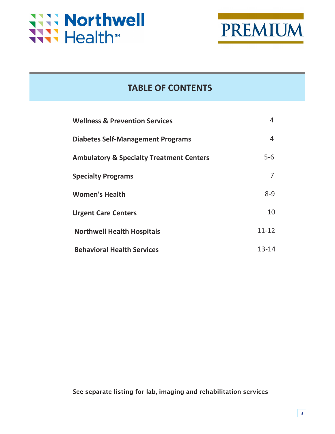



# **TABLE OF CONTENTS**

| <b>Wellness &amp; Prevention Services</b>           | 4         |
|-----------------------------------------------------|-----------|
| <b>Diabetes Self-Management Programs</b>            | 4         |
| <b>Ambulatory &amp; Specialty Treatment Centers</b> | $5 - 6$   |
| <b>Specialty Programs</b>                           | 7         |
| <b>Women's Health</b>                               | $8 - 9$   |
| <b>Urgent Care Centers</b>                          | 10        |
| <b>Northwell Health Hospitals</b>                   | $11 - 12$ |
| <b>Behavioral Health Services</b>                   | 13-14     |

## See separate listing for lab, imaging and rehabilitation services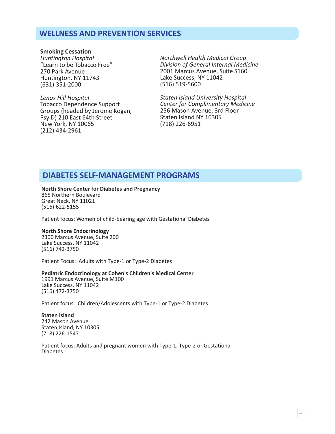# **WELLNESS AND PREVENTION SERVICES**

**Smoking Cessation**  *Huntington Hospital*  "Learn to be Tobacco Free" 270 Park Avenue Huntington, NY 11743 (631) 351-2000

*Lenox Hill Hospital*  Tobacco Dependence Support Groups (headed by Jerome Kogan, Psy D) 210 East 64th Street New York, NY 10065 (212) 434-2961

*Northwell Health Medical Group Division of General Internal Medicine*  2001 Marcus Avenue, Suite S160 Lake Success, NY 11042 (516) 519-5600

*Staten Island University Hospital Center for Complimentary Medicine*  256 Mason Avenue, 3rd Floor Staten Island NY 10305 (718) 226-6951

# **DIABETES SELF-MANAGEMENT PROGRAMS**

## **North Shore Center for Diabetes and Pregnancy**

865 Northern Boulevard Great Neck, NY 11021 (516) 622-5155

Patient focus: Women of child-bearing age with Gestational Diabetes

#### **North Shore Endocrinology**

2300 Marcus Avenue, Suite 200 Lake Success, NY 11042 (516) 742-3750

Patient Focus: Adults with Type-1 or Type-2 Diabetes

#### **Pediatric Endocrinology at Cohen's Children's Medical Center**

1991 Marcus Avenue, Suite M100 Lake Success, NY 11042 (516) 472-3750

Patient focus: Children/Adolescents with Type-1 or Type-2 Diabetes

#### **Staten Island**

242 Mason Avenue Staten Island, NY 10305 (718) 226-1547

Patient focus: Adults and pregnant women with Type-1, Type-2 or Gestational Diabetes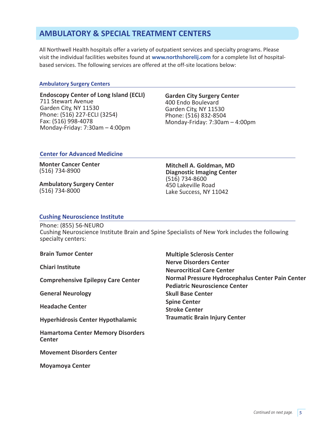# **AMBULATORY & SPECIAL TREATMENT CENTERS**

All Northwell Health hospitals offer a variety of outpatient services and specialty programs. Please visit the individual facilities websites found at **www.northshorelij.com** for a complete list of hospitalbased services. The following services are offered at the off-site locations below:

#### **Ambulatory Surgery Centers**

**Endoscopy Center of Long Island (ECLI)**  711 Stewart Avenue Garden City, NY 11530 Phone: (516) 227-ECLI (3254) Fax: (516) 998-4078 Monday-Friday: 7:30am – 4:00pm

**Garden City Surgery Center**  400 Endo Boulevard Garden City, NY 11530 Phone: (516) 832-8504 Monday-Friday: 7:30am – 4:00pm

#### **Center for Advanced Medicine**

**Monter Cancer Center**  (516) 734-8900

**Ambulatory Surgery Center**  (516) 734-8000

**Mitchell A. Goldman, MD Diagnostic Imaging Center**  (516) 734-8600 450 Lakeville Road Lake Success, NY 11042

#### **Cushing Neuroscience Institute**

Phone: (855) 56-NEURO Cushing Neuroscience Institute Brain and Spine Specialists of New York includes the following specialty centers:

|  | <b>Brain Tumor Center</b> |  |
|--|---------------------------|--|
|  |                           |  |

**Chiari Institute**

**Comprehensive Epilepsy Care Center**

**General Neurology**

**Headache Center**

**Hyperhidrosis Center Hypothalamic** 

**Hamartoma Center Memory Disorders Center**

**Movement Disorders Center**

**Moyamoya Center**

**Multiple Sclerosis Center Nerve Disorders Center Neurocritical Care Center Normal Pressure Hydrocephalus Center Pain Center Pediatric Neuroscience Center Skull Base Center Spine Center Stroke Center Traumatic Brain Injury Center**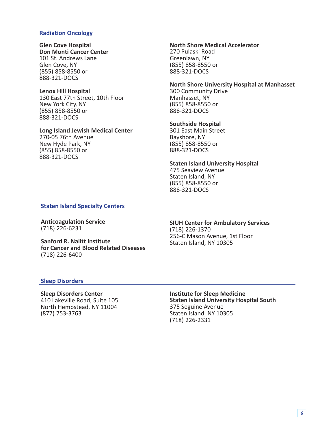#### **Radiation Oncology**

# **Glen Cove Hospital**

**Don Monti Cancer Center**  101 St. Andrews Lane Glen Cove, NY (855) 858-8550 or 888-321-DOCS

#### **Lenox Hill Hospital**

130 East 77th Street, 10th Floor New York City, NY (855) 858-8550 or 888-321-DOCS

#### **Long Island Jewish Medical Center**

270-05 76th Avenue New Hyde Park, NY (855) 858-8550 or 888-321-DOCS

#### **North Shore Medical Accelerator** 270 Pulaski Road Greenlawn, NY (855) 858-8550 or 888-321-DOCS

**North Shore University Hospital at Manhasset** 300 Community Drive Manhasset, NY (855) 858-8550 or

#### **Southside Hospital**

888-321-DOCS

301 East Main Street Bayshore, NY (855) 858-8550 or 888-321-DOCS

#### **Staten Island University Hospital**

475 Seaview Avenue Staten Island, NY (855) 858-8550 or 888-321-DOCS

#### **Staten Island Specialty Centers**

**Anticoagulation Service**  (718) 226-6231

**Sanford R. Nalitt Institute for Cancer and Blood Related Diseases** (718) 226-6400

#### **SIUH Center for Ambulatory Services**  (718) 226-1370 256-C Mason Avenue, 1st Floor Staten Island, NY 10305

#### **Sleep Disorders**

**Sleep Disorders Center**  410 Lakeville Road, Suite 105 North Hempstead, NY 11004 (877) 753-3763

**Institute for Sleep Medicine Staten Island University Hospital South**  375 Seguine Avenue Staten Island, NY 10305 (718) 226-2331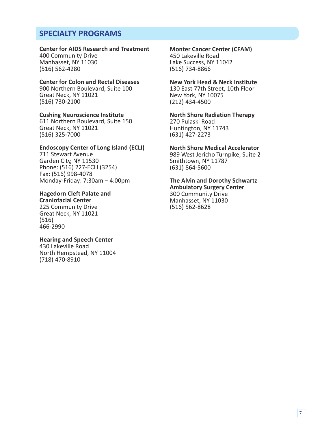# **SPECIALTY PROGRAMS**

## **Center for AIDS Research and Treatment**

400 Community Drive Manhasset, NY 11030 (516) 562-4280

### **Center for Colon and Rectal Diseases**

900 Northern Boulevard, Suite 100 Great Neck, NY 11021 (516) 730-2100

## **Cushing Neuroscience Institute**

611 Northern Boulevard, Suite 150 Great Neck, NY 11021 (516) 325-7000

#### **Endoscopy Center of Long Island (ECLI)**

711 Stewart Avenue Garden City, NY 11530 Phone: (516) 227-ECLI (3254) Fax: (516) 998-4078 Monday-Friday: 7:30am – 4:00pm

#### **Hagedorn Cleft Palate and**

**Craniofacial Center**  225 Community Drive Great Neck, NY 11021 (516) 466-2990

#### **Hearing and Speech Center**  430 Lakeville Road North Hempstead, NY 11004 (718) 470-8910

#### **Monter Cancer Center (CFAM)**

450 Lakeville Road Lake Success, NY 11042 (516) 734-8866

#### **New York Head & Neck Institute**

130 East 77th Street, 10th Floor New York, NY 10075 (212) 434-4500

**North Shore Radiation Therapy** 270 Pulaski Road Huntington, NY 11743 (631) 427-2273

**North Shore Medical Accelerator** 989 West Jericho Turnpike, Suite 2 Smithtown, NY 11787 (631) 864-5600

**The Alvin and Dorothy Schwartz Ambulatory Surgery Center**  300 Community Drive Manhasset, NY 11030 (516) 562-8628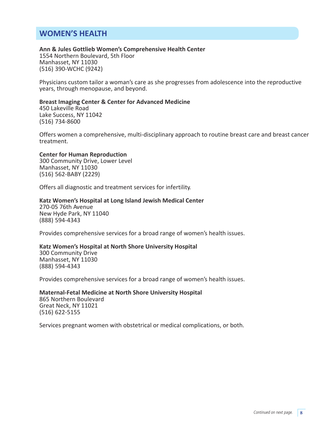# **WOMEN'S HEALTH**

#### **Ann & Jules Gottlieb Women's Comprehensive Health Center**

1554 Northern Boulevard, 5th Floor Manhasset, NY 11030 (516) 390-WCHC (9242)

Physicians custom tailor a woman's care as she progresses from adolescence into the reproductive years, through menopause, and beyond.

#### **Breast Imaging Center & Center for Advanced Medicine**

450 Lakeville Road Lake Success, NY 11042 (516) 734-8600

Offers women a comprehensive, multi-disciplinary approach to routine breast care and breast cancer treatment.

#### **Center for Human Reproduction**

300 Community Drive, Lower Level Manhasset, NY 11030 (516) 562-BABY (2229)

Offers all diagnostic and treatment services for infertility.

#### **Katz Women's Hospital at Long Island Jewish Medical Center**

270-05 76th Avenue New Hyde Park, NY 11040 (888) 594-4343

Provides comprehensive services for a broad range of women's health issues.

#### **Katz Women's Hospital at North Shore University Hospital**

300 Community Drive Manhasset, NY 11030 (888) 594-4343

Provides comprehensive services for a broad range of women's health issues.

**Maternal-Fetal Medicine at North Shore University Hospital**  865 Northern Boulevard Great Neck, NY 11021 (516) 622-5155

Services pregnant women with obstetrical or medical complications, or both.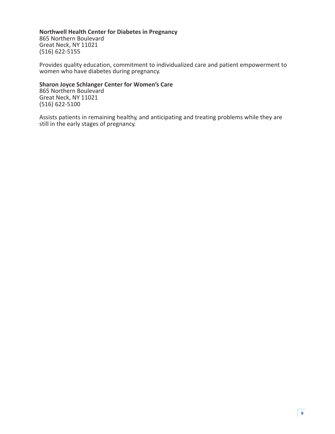#### **Northwell Health Center for Diabetes in Pregnancy**  865 Northern Boulevard Great Neck, NY 11021 (516) 622-5155

Provides quality education, commitment to individualized care and patient empowerment to women who have diabetes during pregnancy.

#### **Sharon Joyce Schlanger Center for Women's Care**  865 Northern Boulevard

Great Neck, NY 11021 (516) 622-5100

Assists patients in remaining healthy, and anticipating and treating problems while they are still in the early stages of pregnancy.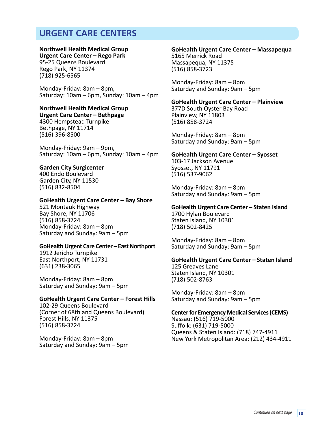# **URGENT CARE CENTERS**

#### **Northwell Health Medical Group**

**Urgent Care Center – Rego Park**  95-25 Queens Boulevard Rego Park, NY 11374 (718) 925-6565

Monday-Friday: 8am – 8pm, Saturday: 10am – 6pm, Sunday: 10am – 4pm

#### **Northwell Health Medical Group**

**Urgent Care Center – Bethpage**  4300 Hempstead Turnpike Bethpage, NY 11714 (516) 396-8500

Monday-Friday: 9am – 9pm, Saturday: 10am – 6pm, Sunday: 10am – 4pm

#### **Garden City Surgicenter**

400 Endo Boulevard Garden City, NY 11530 (516) 832-8504

#### **GoHealth Urgent Care Center – Bay Shore**

521 Montauk Highway Bay Shore, NY 11706 (516) 858-3724 Monday-Friday: 8am – 8pm Saturday and Sunday: 9am – 5pm

#### **GoHealth Urgent Care Center – East Northport**

1912 Jericho Turnpike East Northport, NY 11731 (631) 238-3065

Monday-Friday: 8am – 8pm Saturday and Sunday: 9am – 5pm

#### **GoHealth Urgent Care Center – Forest Hills**

102-29 Queens Boulevard (Corner of 68th and Queens Boulevard) Forest Hills, NY 11375 (516) 858-3724

Monday-Friday: 8am – 8pm Saturday and Sunday: 9am – 5pm

#### **GoHealth Urgent Care Center – Massapequa**

5165 Merrick Road Massapequa, NY 11375 (516) 858-3723

Monday-Friday: 8am – 8pm Saturday and Sunday: 9am – 5pm

#### **GoHealth Urgent Care Center – Plainview**

377D South Oyster Bay Road Plainview, NY 11803 (516) 858-3724

Monday-Friday: 8am – 8pm Saturday and Sunday: 9am – 5pm

#### **GoHealth Urgent Care Center – Syosset**

103-17 Jackson Avenue Syosset, NY 11791 (516) 537-9062

Monday-Friday: 8am – 8pm Saturday and Sunday: 9am – 5pm

#### **GoHealth Urgent Care Center – Staten Island**

1700 Hylan Boulevard Staten Island, NY 10301 (718) 502-8425

Monday-Friday: 8am – 8pm Saturday and Sunday: 9am – 5pm

#### **GoHealth Urgent Care Center – Staten Island**  125 Greaves Lane Staten Island, NY 10301 (718) 502-8763

Monday-Friday: 8am – 8pm Saturday and Sunday: 9am – 5pm

#### **Center for Emergency Medical Services (CEMS)**

Nassau: (516) 719-5000 Suffolk: (631) 719-5000 Queens & Staten Island: (718) 747-4911 New York Metropolitan Area: (212) 434-4911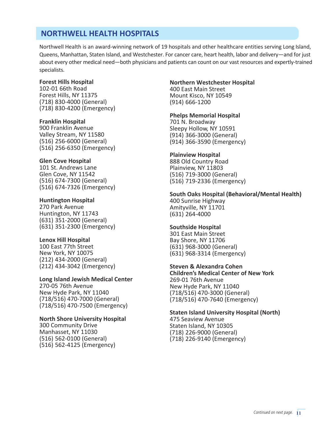# **NORTHWELL HEALTH HOSPITALS**

Northwell Health is an award-winning network of 19 hospitals and other healthcare entities serving Long Island, Queens, Manhattan, Staten Island, and Westchester. For cancer care, heart health, labor and delivery—and for just about every other medical need—both physicians and patients can count on our vast resources and expertly-trained specialists.

#### **Forest Hills Hospital**

102-01 66th Road Forest Hills, NY 11375 (718) 830-4000 (General) (718) 830-4200 (Emergency)

#### **Franklin Hospital**

900 Franklin Avenue Valley Stream, NY 11580 (516) 256-6000 (General) (516) 256-6350 (Emergency)

#### **Glen Cove Hospital**

101 St. Andrews Lane Glen Cove, NY 11542 (516) 674-7300 (General) (516) 674-7326 (Emergency)

#### **Huntington Hospital**

270 Park Avenue Huntington, NY 11743 (631) 351-2000 (General) (631) 351-2300 (Emergency)

#### **Lenox Hill Hospital**

100 East 77th Street New York, NY 10075 (212) 434-2000 (General) (212) 434-3042 (Emergency)

#### **Long Island Jewish Medical Center**

270-05 76th Avenue New Hyde Park, NY 11040 (718/516) 470-7000 (General) (718/516) 470-7500 (Emergency)

#### **North Shore University Hospital**

300 Community Drive Manhasset, NY 11030 (516) 562-0100 (General) (516) 562-4125 (Emergency)

#### **Northern Westchester Hospital**

400 East Main Street Mount Kisco, NY 10549 (914) 666-1200

#### **Phelps Memorial Hospital**

701 N. Broadway Sleepy Hollow, NY 10591 (914) 366-3000 (General) (914) 366-3590 (Emergency)

#### **Plainview Hospital**

888 Old Country Road Plainview, NY 11803 (516) 719-3000 (General) (516) 719-2336 (Emergency)

**South Oaks Hospital (Behavioral/Mental Health)**  400 Sunrise Highway Amityville, NY 11701 (631) 264-4000

#### **Southside Hospital**

301 East Main Street Bay Shore, NY 11706 (631) 968-3000 (General) (631) 968-3314 (Emergency)

**Steven & Alexandra Cohen** 

**Children's Medical Center of New York** 269-01 76th Avenue New Hyde Park, NY 11040 (718/516) 470-3000 (General) (718/516) 470-7640 (Emergency)

**Staten Island University Hospital (North)** 475 Seaview Avenue Staten Island, NY 10305 (718) 226-9000 (General) (718) 226-9140 (Emergency)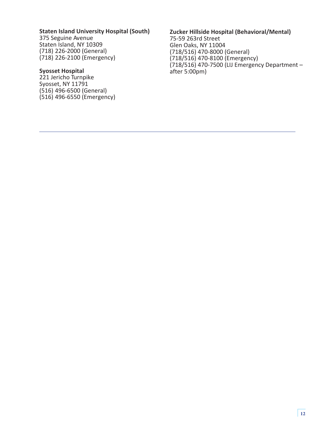#### **Staten Island University Hospital (South)**

375 Seguine Avenue Staten Island, NY 10309 (718) 226-2000 (General) (718) 226-2100 (Emergency)

#### **Syosset Hospital**

221 Jericho Turnpike Syosset, NY 11791 (516) 496-6500 (General) (516) 496-6550 (Emergency)

#### **Zucker Hillside Hospital (Behavioral/Mental)** 75-59 263rd Street Glen Oaks, NY 11004 (718/516) 470-8000 (General) (718/516) 470-8100 (Emergency) (718/516) 470-7500 ( LIJ Emergency Department – after 5:00pm)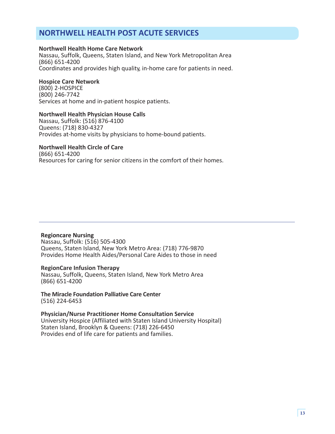# **NORTHWELL HEALTH POST ACUTE SERVICES**

#### **Northwell Health Home Care Network**

Nassau, Suffolk, Queens, Staten Island, and New York Metropolitan Area (866) 651-4200 Coordinates and provides high quality, in-home care for patients in need.

#### **Hospice Care Network**

(800) 2-HOSPICE (800) 246-7742 Services at home and in-patient hospice patients.

#### **Northwell Health Physician House Calls**

Nassau, Suffolk: (516) 876-4100 Queens: (718) 830-4327 Provides at-home visits by physicians to home-bound patients.

## **Northwell Health Circle of Care**

(866) 651-4200 Resources for caring for senior citizens in the comfort of their homes.

#### **Regioncare Nursing**

Nassau, Suffolk: (516) 505-4300 Queens, Staten Island, New York Metro Area: (718) 776-9870 Provides Home Health Aides/Personal Care Aides to those in need

#### **RegionCare Infusion Therapy**

Nassau, Suffolk, Queens, Staten Island, New York Metro Area (866) 651-4200

**The Miracle Foundation Palliative Care Center**  (516) 224-6453

**Physician/Nurse Practitioner Home Consultation Service**  University Hospice (Affiliated with Staten Island University Hospital) Staten Island, Brooklyn & Queens: (718) 226-6450 Provides end of life care for patients and families.